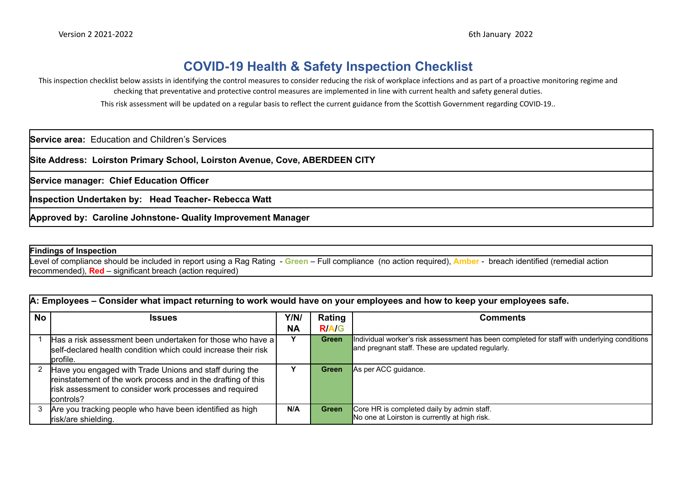## **COVID-19 Health & Safety Inspection Checklist**

This inspection checklist below assists in identifying the control measures to consider reducing the risk of workplace infections and as part of a proactive monitoring regime and checking that preventative and protective control measures are implemented in line with current health and safety general duties.

This risk assessment will be updated on a regular basis to reflect the current guidance from the Scottish Government regarding COVID-19..

**Service area:** Education and Children's Services

**Site Address: Loirston Primary School, Loirston Avenue, Cove, ABERDEEN CITY**

**Service manager: Chief Education Officer**

**Inspection Undertaken by: Head Teacher- Rebecca Watt**

**Approved by: Caroline Johnstone- Quality Improvement Manager**

## **Findings of Inspection**

Level of compliance should be included in report using a Rag Rating - **Green** – Full compliance (no action required), **Amber** - breach identified (remedial action recommended), **Red** – significant breach (action required)

|           | A: Employees – Consider what impact returning to work would have on your employees and how to keep your employees safe.                                                                          |                   |                       |                                                                                                                                                 |  |  |  |  |  |  |  |
|-----------|--------------------------------------------------------------------------------------------------------------------------------------------------------------------------------------------------|-------------------|-----------------------|-------------------------------------------------------------------------------------------------------------------------------------------------|--|--|--|--|--|--|--|
| <b>No</b> | <b>Issues</b>                                                                                                                                                                                    | Y/N/<br><b>NA</b> | Rating<br><b>RA/G</b> | <b>Comments</b>                                                                                                                                 |  |  |  |  |  |  |  |
|           | Has a risk assessment been undertaken for those who have a)<br>self-declared health condition which could increase their risk<br>profile.                                                        | Y                 | Green                 | Individual worker's risk assessment has been completed for staff with underlying conditions<br>and pregnant staff. These are updated regularly. |  |  |  |  |  |  |  |
|           | Have you engaged with Trade Unions and staff during the<br>reinstatement of the work process and in the drafting of this<br>risk assessment to consider work processes and required<br>controls? |                   | Green                 | As per ACC guidance.                                                                                                                            |  |  |  |  |  |  |  |
|           | Are you tracking people who have been identified as high<br>risk/are shielding.                                                                                                                  | N/A               | Green                 | Core HR is completed daily by admin staff.<br>No one at Loirston is currently at high risk.                                                     |  |  |  |  |  |  |  |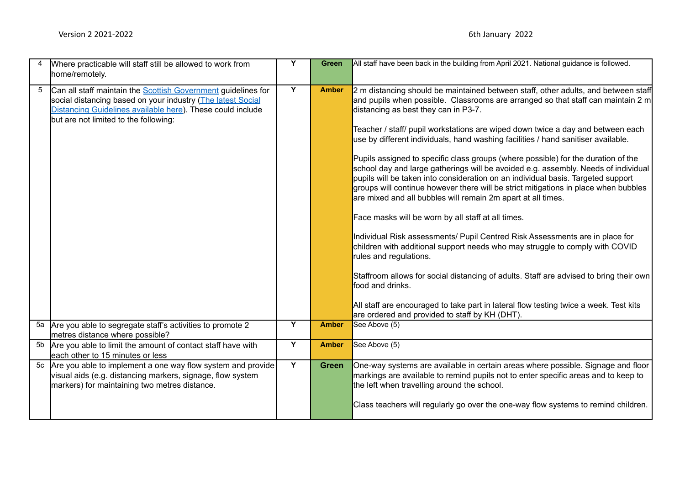|    | Where practicable will staff still be allowed to work from<br>home/remotely.                                                                                                                                                               | Y | <b>Green</b> | All staff have been back in the building from April 2021. National guidance is followed.                                                                                                                                                                                                                                                                                                                                                                                                                                                                                                                                                                                                                                                                                                                                                                                                                                                                                                                                                                                                                                                                                                                                                                                                                              |
|----|--------------------------------------------------------------------------------------------------------------------------------------------------------------------------------------------------------------------------------------------|---|--------------|-----------------------------------------------------------------------------------------------------------------------------------------------------------------------------------------------------------------------------------------------------------------------------------------------------------------------------------------------------------------------------------------------------------------------------------------------------------------------------------------------------------------------------------------------------------------------------------------------------------------------------------------------------------------------------------------------------------------------------------------------------------------------------------------------------------------------------------------------------------------------------------------------------------------------------------------------------------------------------------------------------------------------------------------------------------------------------------------------------------------------------------------------------------------------------------------------------------------------------------------------------------------------------------------------------------------------|
| 5  | Can all staff maintain the <b>Scottish Government</b> guidelines for<br>social distancing based on your industry (The latest Social<br>Distancing Guidelines available here). These could include<br>but are not limited to the following: | Y | <b>Amber</b> | 2 m distancing should be maintained between staff, other adults, and between staff<br>and pupils when possible. Classrooms are arranged so that staff can maintain 2 m<br>distancing as best they can in P3-7.<br>Teacher / staff/ pupil workstations are wiped down twice a day and between each<br>use by different individuals, hand washing facilities / hand sanitiser available.<br>Pupils assigned to specific class groups (where possible) for the duration of the<br>school day and large gatherings will be avoided e.g. assembly. Needs of individual<br>pupils will be taken into consideration on an individual basis. Targeted support<br>groups will continue however there will be strict mitigations in place when bubbles<br>are mixed and all bubbles will remain 2m apart at all times.<br>Face masks will be worn by all staff at all times.<br>Individual Risk assessments/ Pupil Centred Risk Assessments are in place for<br>children with additional support needs who may struggle to comply with COVID<br>rules and regulations.<br>Staffroom allows for social distancing of adults. Staff are advised to bring their own<br>food and drinks.<br>All staff are encouraged to take part in lateral flow testing twice a week. Test kits<br>are ordered and provided to staff by KH (DHT). |
| 5a | Are you able to segregate staff's activities to promote 2<br>metres distance where possible?                                                                                                                                               | Y | <b>Amber</b> | See Above (5)                                                                                                                                                                                                                                                                                                                                                                                                                                                                                                                                                                                                                                                                                                                                                                                                                                                                                                                                                                                                                                                                                                                                                                                                                                                                                                         |
| 5b | Are you able to limit the amount of contact staff have with<br>each other to 15 minutes or less                                                                                                                                            | Y | <b>Amber</b> | See Above (5)                                                                                                                                                                                                                                                                                                                                                                                                                                                                                                                                                                                                                                                                                                                                                                                                                                                                                                                                                                                                                                                                                                                                                                                                                                                                                                         |
| 5c | Are you able to implement a one way flow system and provide<br>visual aids (e.g. distancing markers, signage, flow system<br>markers) for maintaining two metres distance.                                                                 | Y | <b>Green</b> | One-way systems are available in certain areas where possible. Signage and floor<br>markings are available to remind pupils not to enter specific areas and to keep to<br>the left when travelling around the school.<br>Class teachers will regularly go over the one-way flow systems to remind children.                                                                                                                                                                                                                                                                                                                                                                                                                                                                                                                                                                                                                                                                                                                                                                                                                                                                                                                                                                                                           |
|    |                                                                                                                                                                                                                                            |   |              |                                                                                                                                                                                                                                                                                                                                                                                                                                                                                                                                                                                                                                                                                                                                                                                                                                                                                                                                                                                                                                                                                                                                                                                                                                                                                                                       |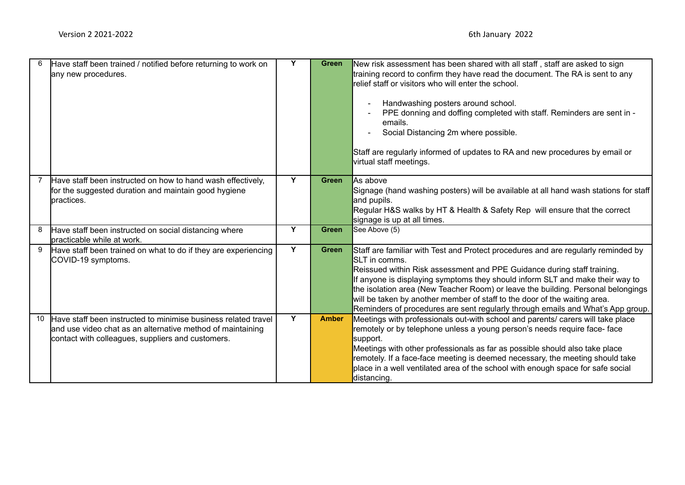| 6  | Have staff been trained / notified before returning to work on<br>any new procedures.                                                                                             | Y | <b>Green</b> | New risk assessment has been shared with all staff, staff are asked to sign<br>training record to confirm they have read the document. The RA is sent to any<br>relief staff or visitors who will enter the school.<br>Handwashing posters around school.<br>PPE donning and doffing completed with staff. Reminders are sent in -<br>emails.<br>Social Distancing 2m where possible.<br>Staff are regularly informed of updates to RA and new procedures by email or<br>virtual staff meetings.                          |
|----|-----------------------------------------------------------------------------------------------------------------------------------------------------------------------------------|---|--------------|---------------------------------------------------------------------------------------------------------------------------------------------------------------------------------------------------------------------------------------------------------------------------------------------------------------------------------------------------------------------------------------------------------------------------------------------------------------------------------------------------------------------------|
|    | Have staff been instructed on how to hand wash effectively,<br>for the suggested duration and maintain good hygiene<br>practices.                                                 | Y | <b>Green</b> | As above<br>Signage (hand washing posters) will be available at all hand wash stations for staff<br>and pupils.<br>Regular H&S walks by HT & Health & Safety Rep will ensure that the correct<br>signage is up at all times.                                                                                                                                                                                                                                                                                              |
| 8  | Have staff been instructed on social distancing where<br><b>l</b> practicable while at work.                                                                                      | Y | <b>Green</b> | See Above (5)                                                                                                                                                                                                                                                                                                                                                                                                                                                                                                             |
| 9  | Have staff been trained on what to do if they are experiencing<br>COVID-19 symptoms.                                                                                              | Y | <b>Green</b> | Staff are familiar with Test and Protect procedures and are regularly reminded by<br><b>SLT</b> in comms.<br>Reissued within Risk assessment and PPE Guidance during staff training.<br>If anyone is displaying symptoms they should inform SLT and make their way to<br>the isolation area (New Teacher Room) or leave the building. Personal belongings<br>will be taken by another member of staff to the door of the waiting area.<br>Reminders of procedures are sent regularly through emails and What's App group. |
| 10 | Have staff been instructed to minimise business related travel<br>and use video chat as an alternative method of maintaining<br>contact with colleagues, suppliers and customers. | Y | <b>Amber</b> | Meetings with professionals out-with school and parents/ carers will take place<br>remotely or by telephone unless a young person's needs require face-face<br>support.<br>Meetings with other professionals as far as possible should also take place<br>remotely. If a face-face meeting is deemed necessary, the meeting should take<br>place in a well ventilated area of the school with enough space for safe social<br>distancing.                                                                                 |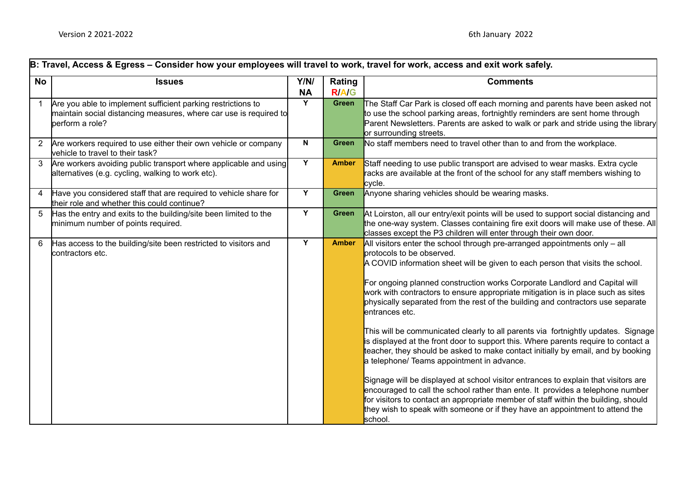|                | B: Travel, Access & Egress - Consider how your employees will travel to work, travel for work, access and exit work safely.                          |                   |                        |                                                                                                                                                                                                                                                                                                                                                                                                                                                                                                                                                                                                                                                                                                                                                                                                                                                                                                                                                                                                                                                                                                                                          |  |  |  |  |  |  |
|----------------|------------------------------------------------------------------------------------------------------------------------------------------------------|-------------------|------------------------|------------------------------------------------------------------------------------------------------------------------------------------------------------------------------------------------------------------------------------------------------------------------------------------------------------------------------------------------------------------------------------------------------------------------------------------------------------------------------------------------------------------------------------------------------------------------------------------------------------------------------------------------------------------------------------------------------------------------------------------------------------------------------------------------------------------------------------------------------------------------------------------------------------------------------------------------------------------------------------------------------------------------------------------------------------------------------------------------------------------------------------------|--|--|--|--|--|--|
| <b>No</b>      | <b>Issues</b>                                                                                                                                        | Y/N/<br><b>NA</b> | Rating<br><b>R/A/G</b> | <b>Comments</b>                                                                                                                                                                                                                                                                                                                                                                                                                                                                                                                                                                                                                                                                                                                                                                                                                                                                                                                                                                                                                                                                                                                          |  |  |  |  |  |  |
|                | Are you able to implement sufficient parking restrictions to<br>maintain social distancing measures, where car use is required to<br>perform a role? | Y                 | Green                  | The Staff Car Park is closed off each morning and parents have been asked not<br>to use the school parking areas, fortnightly reminders are sent home through<br>Parent Newsletters. Parents are asked to walk or park and stride using the library<br>or surrounding streets.                                                                                                                                                                                                                                                                                                                                                                                                                                                                                                                                                                                                                                                                                                                                                                                                                                                           |  |  |  |  |  |  |
| 2              | Are workers required to use either their own vehicle or company<br>vehicle to travel to their task?                                                  | N                 | <b>Green</b>           | No staff members need to travel other than to and from the workplace.                                                                                                                                                                                                                                                                                                                                                                                                                                                                                                                                                                                                                                                                                                                                                                                                                                                                                                                                                                                                                                                                    |  |  |  |  |  |  |
| 3              | Are workers avoiding public transport where applicable and using<br>alternatives (e.g. cycling, walking to work etc).                                | Y                 | <b>Amber</b>           | Staff needing to use public transport are advised to wear masks. Extra cycle<br>racks are available at the front of the school for any staff members wishing to<br>cycle.                                                                                                                                                                                                                                                                                                                                                                                                                                                                                                                                                                                                                                                                                                                                                                                                                                                                                                                                                                |  |  |  |  |  |  |
| $\overline{4}$ | Have you considered staff that are required to vehicle share for<br>their role and whether this could continue?                                      | Y                 | <b>Green</b>           | Anyone sharing vehicles should be wearing masks.                                                                                                                                                                                                                                                                                                                                                                                                                                                                                                                                                                                                                                                                                                                                                                                                                                                                                                                                                                                                                                                                                         |  |  |  |  |  |  |
| 5              | Has the entry and exits to the building/site been limited to the<br>minimum number of points required.                                               | Y                 | <b>Green</b>           | At Loirston, all our entry/exit points will be used to support social distancing and<br>the one-way system. Classes containing fire exit doors will make use of these. All<br>classes except the P3 children will enter through their own door.                                                                                                                                                                                                                                                                                                                                                                                                                                                                                                                                                                                                                                                                                                                                                                                                                                                                                          |  |  |  |  |  |  |
| 6              | Has access to the building/site been restricted to visitors and<br>contractors etc.                                                                  | Y                 | <b>Amber</b>           | All visitors enter the school through pre-arranged appointments only $-$ all<br>protocols to be observed.<br>A COVID information sheet will be given to each person that visits the school.<br>For ongoing planned construction works Corporate Landlord and Capital will<br>work with contractors to ensure appropriate mitigation is in place such as sites<br>physically separated from the rest of the building and contractors use separate<br>entrances etc.<br>This will be communicated clearly to all parents via fortnightly updates. Signage<br>is displayed at the front door to support this. Where parents require to contact a<br>teacher, they should be asked to make contact initially by email, and by booking<br>a telephone/ Teams appointment in advance.<br>Signage will be displayed at school visitor entrances to explain that visitors are<br>encouraged to call the school rather than ente. It provides a telephone number<br>for visitors to contact an appropriate member of staff within the building, should<br>they wish to speak with someone or if they have an appointment to attend the<br>school. |  |  |  |  |  |  |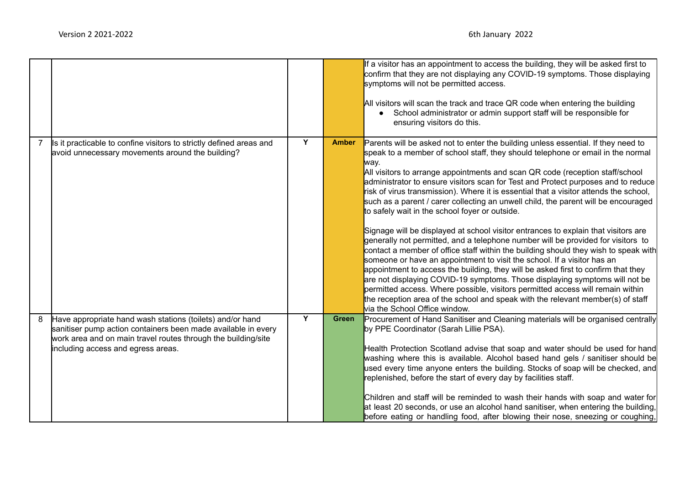|                |                                                                                                                                                                                                                                   |                |              | If a visitor has an appointment to access the building, they will be asked first to<br>confirm that they are not displaying any COVID-19 symptoms. Those displaying<br>symptoms will not be permitted access.<br>All visitors will scan the track and trace QR code when entering the building<br>• School administrator or admin support staff will be responsible for<br>ensuring visitors do this.                                                                                                                                                                                                                                                                                                                                                                                                                                                                                                                                                                                                                                                                                                                                                                                                                                                                                                     |
|----------------|-----------------------------------------------------------------------------------------------------------------------------------------------------------------------------------------------------------------------------------|----------------|--------------|-----------------------------------------------------------------------------------------------------------------------------------------------------------------------------------------------------------------------------------------------------------------------------------------------------------------------------------------------------------------------------------------------------------------------------------------------------------------------------------------------------------------------------------------------------------------------------------------------------------------------------------------------------------------------------------------------------------------------------------------------------------------------------------------------------------------------------------------------------------------------------------------------------------------------------------------------------------------------------------------------------------------------------------------------------------------------------------------------------------------------------------------------------------------------------------------------------------------------------------------------------------------------------------------------------------|
| $\overline{7}$ | Is it practicable to confine visitors to strictly defined areas and<br>avoid unnecessary movements around the building?                                                                                                           | Y              | <b>Amber</b> | Parents will be asked not to enter the building unless essential. If they need to<br>speak to a member of school staff, they should telephone or email in the normal<br>way.<br>All visitors to arrange appointments and scan QR code (reception staff/school<br>administrator to ensure visitors scan for Test and Protect purposes and to reduce<br>risk of virus transmission). Where it is essential that a visitor attends the school,<br>such as a parent / carer collecting an unwell child, the parent will be encouraged<br>to safely wait in the school foyer or outside.<br>Signage will be displayed at school visitor entrances to explain that visitors are<br>generally not permitted, and a telephone number will be provided for visitors to<br>contact a member of office staff within the building should they wish to speak with<br>someone or have an appointment to visit the school. If a visitor has an<br>appointment to access the building, they will be asked first to confirm that they<br>are not displaying COVID-19 symptoms. Those displaying symptoms will not be<br>permitted access. Where possible, visitors permitted access will remain within<br>the reception area of the school and speak with the relevant member(s) of staff<br>via the School Office window. |
| 8              | Have appropriate hand wash stations (toilets) and/or hand<br>sanitiser pump action containers been made available in every<br>work area and on main travel routes through the building/site<br>including access and egress areas. | $\overline{Y}$ | <b>Green</b> | Procurement of Hand Sanitiser and Cleaning materials will be organised centrally<br>by PPE Coordinator (Sarah Lillie PSA).<br>Health Protection Scotland advise that soap and water should be used for hand<br>washing where this is available. Alcohol based hand gels / sanitiser should be<br>used every time anyone enters the building. Stocks of soap will be checked, and<br>replenished, before the start of every day by facilities staff.<br>Children and staff will be reminded to wash their hands with soap and water for<br>at least 20 seconds, or use an alcohol hand sanitiser, when entering the building,<br>before eating or handling food, after blowing their nose, sneezing or coughing,                                                                                                                                                                                                                                                                                                                                                                                                                                                                                                                                                                                           |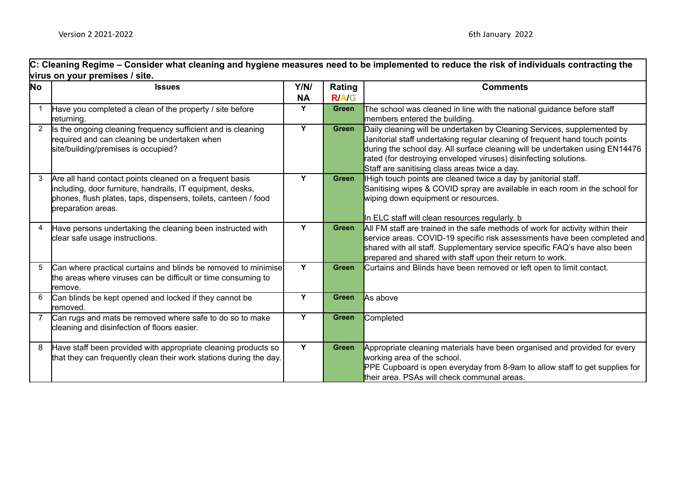C: Cleaning Regime – Consider what cleaning and hygiene measures need to be implemented to reduce the risk of individuals contracting the **virus on your premises / site.**

| No             | <b>Issues</b>                                                                                                                                                                                                  | Y/N/      | Rating       | <b>Comments</b>                                                                                                                                                                                                                                                                                                                                             |
|----------------|----------------------------------------------------------------------------------------------------------------------------------------------------------------------------------------------------------------|-----------|--------------|-------------------------------------------------------------------------------------------------------------------------------------------------------------------------------------------------------------------------------------------------------------------------------------------------------------------------------------------------------------|
|                |                                                                                                                                                                                                                | <b>NA</b> | <b>RIAIG</b> |                                                                                                                                                                                                                                                                                                                                                             |
|                | Have you completed a clean of the property / site before<br>returning.                                                                                                                                         | Y         | Green        | The school was cleaned in line with the national guidance before staff<br>members entered the building.                                                                                                                                                                                                                                                     |
| $\overline{2}$ | Is the ongoing cleaning frequency sufficient and is cleaning<br>required and can cleaning be undertaken when<br>site/building/premises is occupied?                                                            | Y         | <b>Green</b> | Daily cleaning will be undertaken by Cleaning Services, supplemented by<br>Janitorial staff undertaking regular cleaning of frequent hand touch points<br>during the school day. All surface cleaning will be undertaken using EN14476<br>rated (for destroying enveloped viruses) disinfecting solutions.<br>Staff are sanitising class areas twice a day. |
| 3              | Are all hand contact points cleaned on a frequent basis<br>including, door furniture, handrails, IT equipment, desks,<br>phones, flush plates, taps, dispensers, toilets, canteen / food<br>preparation areas. | Y         | Green        | High touch points are cleaned twice a day by janitorial staff.<br>Sanitising wipes & COVID spray are available in each room in the school for<br>wiping down equipment or resources.<br>In ELC staff will clean resources regularly. b                                                                                                                      |
| 4              | Have persons undertaking the cleaning been instructed with<br>clear safe usage instructions.                                                                                                                   | Y         | Green        | All FM staff are trained in the safe methods of work for activity within their<br>service areas. COVID-19 specific risk assessments have been completed and<br>shared with all staff. Supplementary service specific FAQ's have also been<br>prepared and shared with staff upon their return to work.                                                      |
| 5              | Can where practical curtains and blinds be removed to minimise<br>the areas where viruses can be difficult or time consuming to<br>remove.                                                                     | Y         | Green        | Curtains and Blinds have been removed or left open to limit contact.                                                                                                                                                                                                                                                                                        |
| 6              | Can blinds be kept opened and locked if they cannot be<br>lremoved.                                                                                                                                            | Y         | <b>Green</b> | As above                                                                                                                                                                                                                                                                                                                                                    |
|                | Can rugs and mats be removed where safe to do so to make<br>cleaning and disinfection of floors easier.                                                                                                        | Ÿ         | <b>Green</b> | Completed                                                                                                                                                                                                                                                                                                                                                   |
| 8              | Have staff been provided with appropriate cleaning products so<br>that they can frequently clean their work stations during the day.                                                                           | Y         | <b>Green</b> | Appropriate cleaning materials have been organised and provided for every<br>working area of the school.<br>PPE Cupboard is open everyday from 8-9am to allow staff to get supplies for<br>their area. PSAs will check communal areas.                                                                                                                      |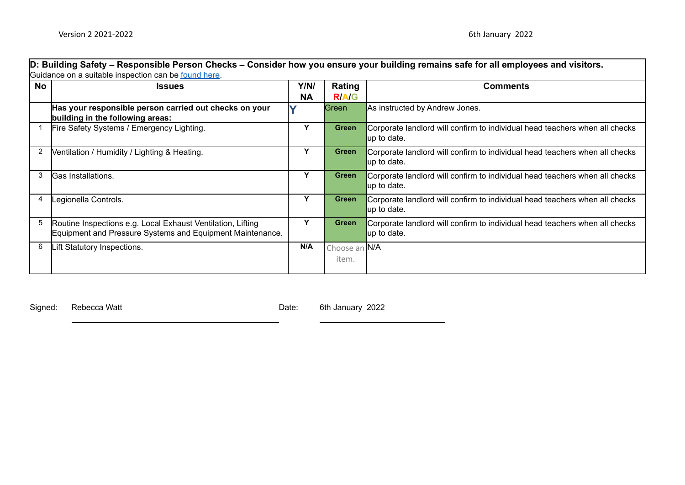|           | D: Building Safety – Responsible Person Checks – Consider how you ensure your building remains safe for all employees and visitors. |           |               |                                                                                            |  |  |  |  |  |  |
|-----------|-------------------------------------------------------------------------------------------------------------------------------------|-----------|---------------|--------------------------------------------------------------------------------------------|--|--|--|--|--|--|
|           | Guidance on a suitable inspection can be found here.                                                                                |           |               |                                                                                            |  |  |  |  |  |  |
| <b>No</b> | <b>Issues</b>                                                                                                                       |           | Rating        | <b>Comments</b>                                                                            |  |  |  |  |  |  |
|           |                                                                                                                                     | <b>NA</b> | <b>RIAIG</b>  |                                                                                            |  |  |  |  |  |  |
|           | Has your responsible person carried out checks on your<br>building in the following areas:                                          |           | Green         | As instructed by Andrew Jones.                                                             |  |  |  |  |  |  |
|           | Fire Safety Systems / Emergency Lighting.                                                                                           | Y         | Green         | Corporate landlord will confirm to individual head teachers when all checks<br>up to date. |  |  |  |  |  |  |
| 2         | Ventilation / Humidity / Lighting & Heating.                                                                                        | Υ         | <b>Green</b>  | Corporate landlord will confirm to individual head teachers when all checks<br>up to date. |  |  |  |  |  |  |
| 3         | Gas Installations.                                                                                                                  | Υ         | <b>Green</b>  | Corporate landlord will confirm to individual head teachers when all checks<br>up to date. |  |  |  |  |  |  |
| 4         | Legionella Controls.                                                                                                                | Y         | <b>Green</b>  | Corporate landlord will confirm to individual head teachers when all checks<br>up to date. |  |  |  |  |  |  |
| 5         | Routine Inspections e.g. Local Exhaust Ventilation, Lifting<br>Equipment and Pressure Systems and Equipment Maintenance.            | Υ         | <b>Green</b>  | Corporate landlord will confirm to individual head teachers when all checks<br>up to date. |  |  |  |  |  |  |
| 6         | Lift Statutory Inspections.                                                                                                         | N/A       | Choose an N/A |                                                                                            |  |  |  |  |  |  |
|           |                                                                                                                                     |           | item.         |                                                                                            |  |  |  |  |  |  |
|           |                                                                                                                                     |           |               |                                                                                            |  |  |  |  |  |  |

Signed: Rebecca Watt **Date:** 6th January 2022

۰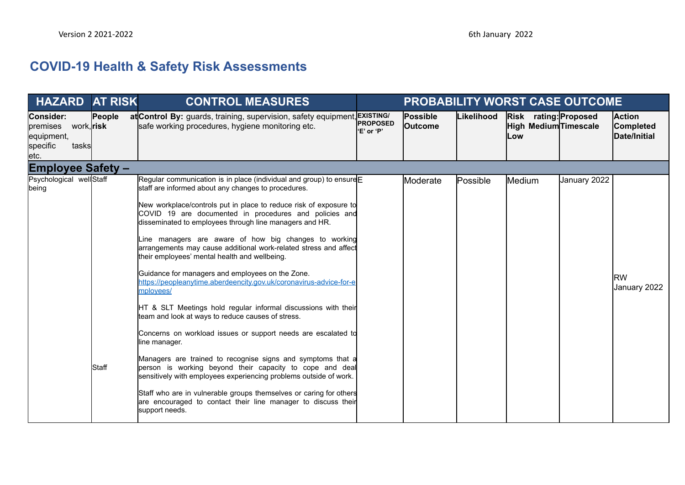## **COVID-19 Health & Safety Risk Assessments**

| <b>HAZARD AT RISK</b>                                                               |                | <b>CONTROL MEASURES</b>                                                                                                                                                                                                                                                                                                                                                                                                                                                                                                                                                                                                                                                                                                                                                                                                                                                                                                                                                                                                                                                                                                                                                                                         |                                |                            |            |                                                       | <b>PROBABILITY WORST CASE OUTCOME</b> |                                            |
|-------------------------------------------------------------------------------------|----------------|-----------------------------------------------------------------------------------------------------------------------------------------------------------------------------------------------------------------------------------------------------------------------------------------------------------------------------------------------------------------------------------------------------------------------------------------------------------------------------------------------------------------------------------------------------------------------------------------------------------------------------------------------------------------------------------------------------------------------------------------------------------------------------------------------------------------------------------------------------------------------------------------------------------------------------------------------------------------------------------------------------------------------------------------------------------------------------------------------------------------------------------------------------------------------------------------------------------------|--------------------------------|----------------------------|------------|-------------------------------------------------------|---------------------------------------|--------------------------------------------|
| <b>Consider:</b><br>premises work, risk<br>equipment,<br>specific<br>tasksl<br>etc. | People         | at Control By: guards, training, supervision, safety equipment, EXISTING/<br>safe working procedures, hygiene monitoring etc.                                                                                                                                                                                                                                                                                                                                                                                                                                                                                                                                                                                                                                                                                                                                                                                                                                                                                                                                                                                                                                                                                   | <b>IPROPOSED</b><br>'E' or 'P' | Possible<br><b>Outcome</b> | Likelihood | Risk rating: Proposed<br>High Medium Timescale<br>Low |                                       | <b>Action</b><br>Completed<br>Date/Initial |
| <b>Employee Safety -</b>                                                            |                |                                                                                                                                                                                                                                                                                                                                                                                                                                                                                                                                                                                                                                                                                                                                                                                                                                                                                                                                                                                                                                                                                                                                                                                                                 |                                |                            |            |                                                       |                                       |                                            |
| Psychological wellStaff<br>being                                                    | <b>I</b> Staff | Regular communication is in place (individual and group) to ensure $E$<br>staff are informed about any changes to procedures.<br>New workplace/controls put in place to reduce risk of exposure to<br>COVID 19 are documented in procedures and policies and<br>disseminated to employees through line managers and HR.<br>Line managers are aware of how big changes to working<br>arrangements may cause additional work-related stress and affect<br>their employees' mental health and wellbeing.<br>Guidance for managers and employees on the Zone.<br>https://peopleanytime.aberdeencity.gov.uk/coronavirus-advice-for-e<br>mployees/<br>HT & SLT Meetings hold regular informal discussions with their<br>team and look at ways to reduce causes of stress.<br>Concerns on workload issues or support needs are escalated to<br>lline manager.<br>Managers are trained to recognise signs and symptoms that a<br>person is working beyond their capacity to cope and deal<br>sensitively with employees experiencing problems outside of work.<br>Staff who are in vulnerable groups themselves or caring for others<br>are encouraged to contact their line manager to discuss their<br>support needs. |                                | Moderate                   | Possible   | Medium                                                | January 2022                          | <b>RW</b><br>January 2022                  |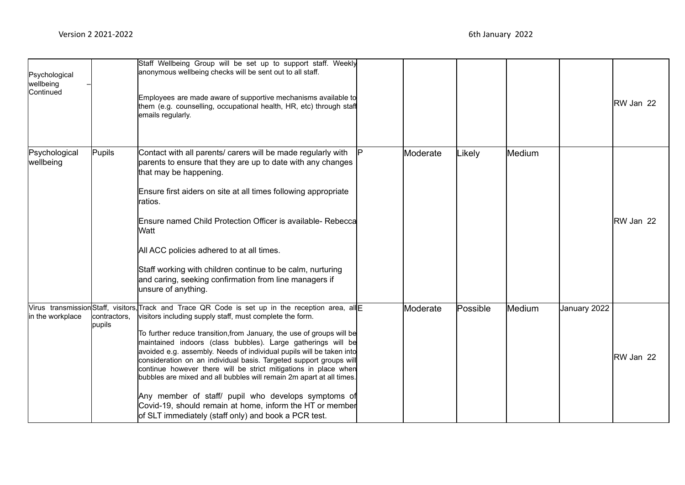| Psychological<br>wellbeing<br>Continued |                        | Staff Wellbeing Group will be set up to support staff. Weekly<br>anonymous wellbeing checks will be sent out to all staff.<br>Employees are made aware of supportive mechanisms available to<br>them (e.g. counselling, occupational health, HR, etc) through staff<br>emails regularly.                                                                                                                                                                                                                                                                                                                                                                                                                                                                                  |          |          |        |              | <b>RW Jan 22</b>  |
|-----------------------------------------|------------------------|---------------------------------------------------------------------------------------------------------------------------------------------------------------------------------------------------------------------------------------------------------------------------------------------------------------------------------------------------------------------------------------------------------------------------------------------------------------------------------------------------------------------------------------------------------------------------------------------------------------------------------------------------------------------------------------------------------------------------------------------------------------------------|----------|----------|--------|--------------|-------------------|
| Psychological<br>wellbeing              | Pupils                 | Contact with all parents/ carers will be made regularly with<br>parents to ensure that they are up to date with any changes<br>that may be happening.<br>Ensure first aiders on site at all times following appropriate<br>ratios.<br>Ensure named Child Protection Officer is available- Rebecca<br>lWatt<br>All ACC policies adhered to at all times.<br>Staff working with children continue to be calm, nurturing<br>and caring, seeking confirmation from line managers if<br>unsure of anything.                                                                                                                                                                                                                                                                    | Moderate | _ikely   | Medium |              | <b>IRW Jan 22</b> |
| in the workplace                        | contractors,<br>pupils | Virus transmission Staff, visitors, Track and Trace QR Code is set up in the reception area, all<br>visitors including supply staff, must complete the form.<br>To further reduce transition, from January, the use of groups will be<br>maintained indoors (class bubbles). Large gatherings will be<br>avoided e.g. assembly. Needs of individual pupils will be taken into<br>consideration on an individual basis. Targeted support groups will<br>continue however there will be strict mitigations in place when<br>bubbles are mixed and all bubbles will remain 2m apart at all times.<br>Any member of staff/ pupil who develops symptoms of<br>Covid-19, should remain at home, inform the HT or member<br>of SLT immediately (staff only) and book a PCR test. | Moderate | Possible | Medium | January 2022 | RW Jan 22         |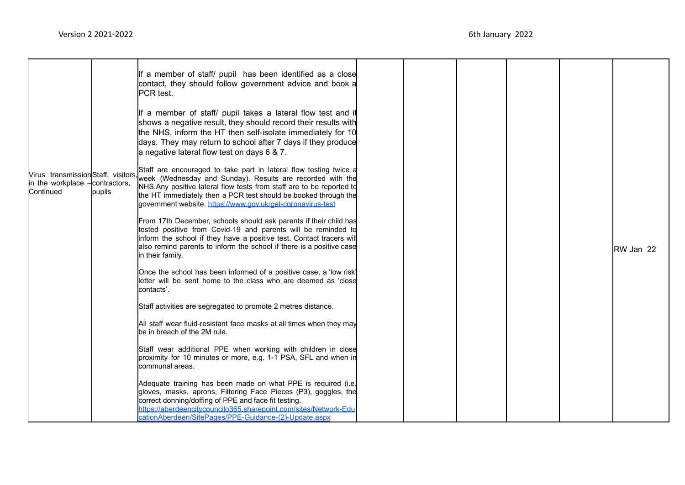|                                                     |        | If a member of staff/ pupil has been identified as a close<br>contact, they should follow government advice and book a<br>PCR test.                                                                                                                                                                                                                                            |  |  |           |
|-----------------------------------------------------|--------|--------------------------------------------------------------------------------------------------------------------------------------------------------------------------------------------------------------------------------------------------------------------------------------------------------------------------------------------------------------------------------|--|--|-----------|
|                                                     |        | If a member of staff/ pupil takes a lateral flow test and it<br>shows a negative result, they should record their results with<br>the NHS, inform the HT then self-isolate immediately for 10<br>days. They may return to school after 7 days if they produce<br>a negative lateral flow test on days 6 & 7.                                                                   |  |  |           |
| in the workplace - contractors,<br><b>Continued</b> | pupils | Staff are encouraged to take part in lateral flow testing twice a<br>Virus transmission Staff, visitors, week (Wednesday and Sunday). Results are recorded with the<br>NHS. Any positive lateral flow tests from staff are to be reported to<br>the HT immediately then a PCR test should be booked through the<br>government website. https://www.gov.uk/get-coronavirus-test |  |  |           |
|                                                     |        | From 17th December, schools should ask parents if their child has<br>tested positive from Covid-19 and parents will be reminded to<br>inform the school if they have a positive test. Contact tracers will<br>also remind parents to inform the school if there is a positive case<br>in their family.                                                                         |  |  | RW Jan 22 |
|                                                     |        | Once the school has been informed of a positive case, a 'low risk'<br>letter will be sent home to the class who are deemed as 'close<br>contacts'.                                                                                                                                                                                                                             |  |  |           |
|                                                     |        | Staff activities are segregated to promote 2 metres distance.                                                                                                                                                                                                                                                                                                                  |  |  |           |
|                                                     |        | All staff wear fluid-resistant face masks at all times when they may<br>be in breach of the 2M rule.                                                                                                                                                                                                                                                                           |  |  |           |
|                                                     |        | Staff wear additional PPE when working with children in close<br>proximity for 10 minutes or more, e.g. 1-1 PSA, SFL and when in<br>communal areas.                                                                                                                                                                                                                            |  |  |           |
|                                                     |        | Adequate training has been made on what PPE is required (i.e.<br>gloves, masks, aprons, Filtering Face Pieces (P3), goggles, the<br>correct donning/doffing of PPE and face fit testing.<br>https://aberdeencitycouncilo365.sharepoint.com/sites/Network-Edu<br>cationAberdeen/SitePages/PPE-Guidance-(2)-Update.aspx                                                          |  |  |           |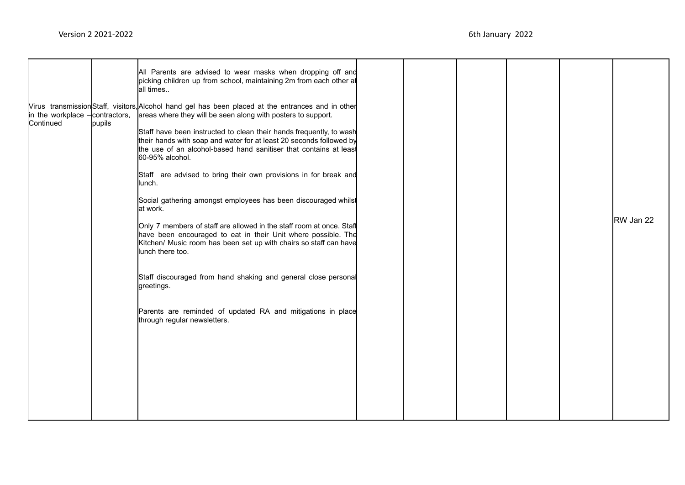| $\ln$ the workplace $\frac{1}{2}$ contractors,<br>Continued | pupils | All Parents are advised to wear masks when dropping off and<br>picking children up from school, maintaining 2m from each other at<br>all times<br>Virus transmission Staff, visitors, Alcohol hand gel has been placed at the entrances and in other<br>areas where they will be seen along with posters to support.<br>Staff have been instructed to clean their hands frequently, to wash<br>their hands with soap and water for at least 20 seconds followed by<br>the use of an alcohol-based hand sanitiser that contains at least<br>60-95% alcohol.<br>Staff are advised to bring their own provisions in for break and<br>lunch.<br>Social gathering amongst employees has been discouraged whilst<br>lat work.<br>Only 7 members of staff are allowed in the staff room at once. Staff<br>have been encouraged to eat in their Unit where possible. The<br>Kitchen/ Music room has been set up with chairs so staff can have<br>lunch there too. |  |  | RW Jan 22 |
|-------------------------------------------------------------|--------|-----------------------------------------------------------------------------------------------------------------------------------------------------------------------------------------------------------------------------------------------------------------------------------------------------------------------------------------------------------------------------------------------------------------------------------------------------------------------------------------------------------------------------------------------------------------------------------------------------------------------------------------------------------------------------------------------------------------------------------------------------------------------------------------------------------------------------------------------------------------------------------------------------------------------------------------------------------|--|--|-----------|
|                                                             |        | Staff discouraged from hand shaking and general close personal<br>greetings.<br>Parents are reminded of updated RA and mitigations in place<br>through regular newsletters.                                                                                                                                                                                                                                                                                                                                                                                                                                                                                                                                                                                                                                                                                                                                                                               |  |  |           |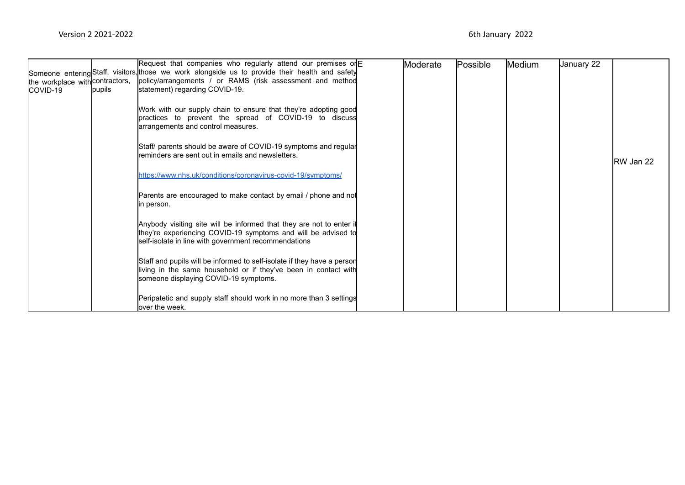| Someone entering Staff, visitors, those we work alongside us to provide their health and safety<br>policy/arrangements / or RAMS (risk assessment and method<br>the workplace with contractors, |           |
|-------------------------------------------------------------------------------------------------------------------------------------------------------------------------------------------------|-----------|
|                                                                                                                                                                                                 |           |
|                                                                                                                                                                                                 |           |
| statement) regarding COVID-19.<br>pupils<br>ICOVID-19                                                                                                                                           |           |
|                                                                                                                                                                                                 |           |
| Work with our supply chain to ensure that they're adopting good                                                                                                                                 |           |
| practices to prevent the spread of COVID-19 to discuss                                                                                                                                          |           |
| arrangements and control measures.                                                                                                                                                              |           |
|                                                                                                                                                                                                 |           |
| Staff/ parents should be aware of COVID-19 symptoms and regular                                                                                                                                 |           |
| reminders are sent out in emails and newsletters.                                                                                                                                               |           |
|                                                                                                                                                                                                 | RW Jan 22 |
| https://www.nhs.uk/conditions/coronavirus-covid-19/symptoms/                                                                                                                                    |           |
|                                                                                                                                                                                                 |           |
| Parents are encouraged to make contact by email / phone and not                                                                                                                                 |           |
| in person.                                                                                                                                                                                      |           |
|                                                                                                                                                                                                 |           |
| Anybody visiting site will be informed that they are not to enter if                                                                                                                            |           |
| they're experiencing COVID-19 symptoms and will be advised to                                                                                                                                   |           |
| self-isolate in line with government recommendations                                                                                                                                            |           |
|                                                                                                                                                                                                 |           |
| Staff and pupils will be informed to self-isolate if they have a person                                                                                                                         |           |
| living in the same household or if they've been in contact with                                                                                                                                 |           |
| someone displaying COVID-19 symptoms.                                                                                                                                                           |           |
|                                                                                                                                                                                                 |           |
| Peripatetic and supply staff should work in no more than 3 settings                                                                                                                             |           |
| lover the week.                                                                                                                                                                                 |           |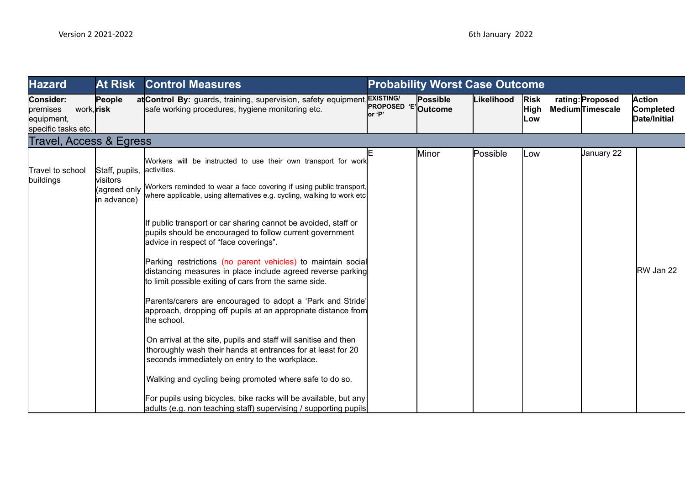| <b>Hazard</b>                                                            | <b>At Risk</b>                                            | <b>Control Measures</b>                                                                                                                                                                                                                                                                                                                                                                                                                                                                     |                                | <b>Probability Worst Case Outcome</b> |            |                                   |                                            |                                     |
|--------------------------------------------------------------------------|-----------------------------------------------------------|---------------------------------------------------------------------------------------------------------------------------------------------------------------------------------------------------------------------------------------------------------------------------------------------------------------------------------------------------------------------------------------------------------------------------------------------------------------------------------------------|--------------------------------|---------------------------------------|------------|-----------------------------------|--------------------------------------------|-------------------------------------|
| Consider:<br>work, risk<br>premises<br>equipment,<br>specific tasks etc. | People                                                    | at Control By: guards, training, supervision, safety equipment, EXISTING/<br>safe working procedures, hygiene monitoring etc.                                                                                                                                                                                                                                                                                                                                                               | <b>PROPOSED 'E'</b><br>lor 'P' | Possible<br>Outcome                   | Likelihood | <b>Risk</b><br><b>High</b><br>Low | rating: Proposed<br><b>MediumTimescale</b> | Action<br>Completed<br>Date/Initial |
| <b>Travel, Access &amp; Egress</b>                                       |                                                           |                                                                                                                                                                                                                                                                                                                                                                                                                                                                                             |                                |                                       |            |                                   |                                            |                                     |
| Travel to school<br>buildings                                            | Staff, pupils,<br>visitors<br>(agreed only<br>in advance) | Workers will be instructed to use their own transport for work<br>activities.<br>Workers reminded to wear a face covering if using public transport,<br>where applicable, using alternatives e.g. cycling, walking to work etc                                                                                                                                                                                                                                                              |                                | Minor                                 | Possible   | LOW                               | January 22                                 |                                     |
|                                                                          |                                                           | If public transport or car sharing cannot be avoided, staff or<br>pupils should be encouraged to follow current government<br>advice in respect of "face coverings".<br>Parking restrictions (no parent vehicles) to maintain social<br>distancing measures in place include agreed reverse parking<br>to limit possible exiting of cars from the same side.<br>Parents/carers are encouraged to adopt a 'Park and Stride'<br>approach, dropping off pupils at an appropriate distance from |                                |                                       |            |                                   |                                            | RW Jan 22                           |
|                                                                          |                                                           | the school.<br>On arrival at the site, pupils and staff will sanitise and then<br>thoroughly wash their hands at entrances for at least for 20<br>seconds immediately on entry to the workplace.<br>Walking and cycling being promoted where safe to do so.<br>For pupils using bicycles, bike racks will be available, but any<br>adults (e.g. non teaching staff) supervising / supporting pupils                                                                                         |                                |                                       |            |                                   |                                            |                                     |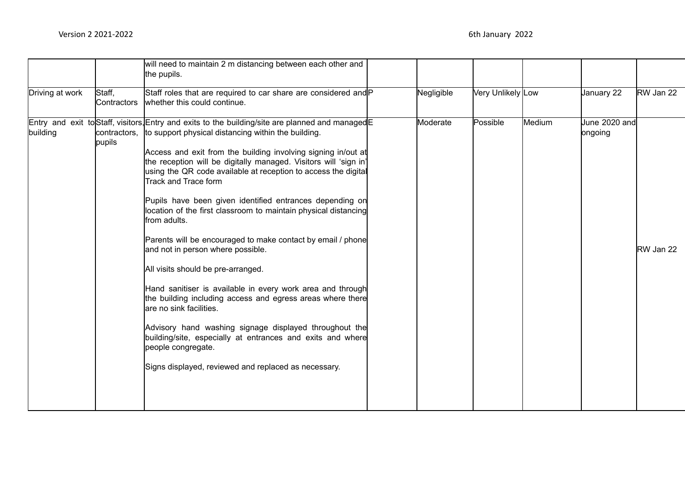|                 |                       | will need to maintain 2 m distancing between each other and<br>the pupils.                                                                                                                                                                                                                                                                                                                                                                                                                                                                                                                                                                                                                                                                                                                                                                                                                                                                                                                                                                                  |            |                   |        |                          |           |
|-----------------|-----------------------|-------------------------------------------------------------------------------------------------------------------------------------------------------------------------------------------------------------------------------------------------------------------------------------------------------------------------------------------------------------------------------------------------------------------------------------------------------------------------------------------------------------------------------------------------------------------------------------------------------------------------------------------------------------------------------------------------------------------------------------------------------------------------------------------------------------------------------------------------------------------------------------------------------------------------------------------------------------------------------------------------------------------------------------------------------------|------------|-------------------|--------|--------------------------|-----------|
| Driving at work | Staff,<br>Contractors | Staff roles that are required to car share are considered and P<br>whether this could continue.                                                                                                                                                                                                                                                                                                                                                                                                                                                                                                                                                                                                                                                                                                                                                                                                                                                                                                                                                             | Negligible | Very Unlikely Low |        | January 22               | RW Jan 22 |
| building        | pupils                | Entry and exit to Staff, visitors, Entry and exits to the building/site are planned and managed E<br>contractors, ito support physical distancing within the building.<br>Access and exit from the building involving signing in/out at<br>the reception will be digitally managed. Visitors will 'sign in'<br>using the QR code available at reception to access the digital<br>Track and Trace form<br>Pupils have been given identified entrances depending on<br>location of the first classroom to maintain physical distancing<br>from adults.<br>Parents will be encouraged to make contact by email / phone<br>and not in person where possible.<br>All visits should be pre-arranged.<br>Hand sanitiser is available in every work area and through<br>the building including access and egress areas where there<br>are no sink facilities.<br>Advisory hand washing signage displayed throughout the<br>building/site, especially at entrances and exits and where<br>people congregate.<br>Signs displayed, reviewed and replaced as necessary. | Moderate   | Possible          | Medium | June 2020 and<br>ongoing | RW Jan 22 |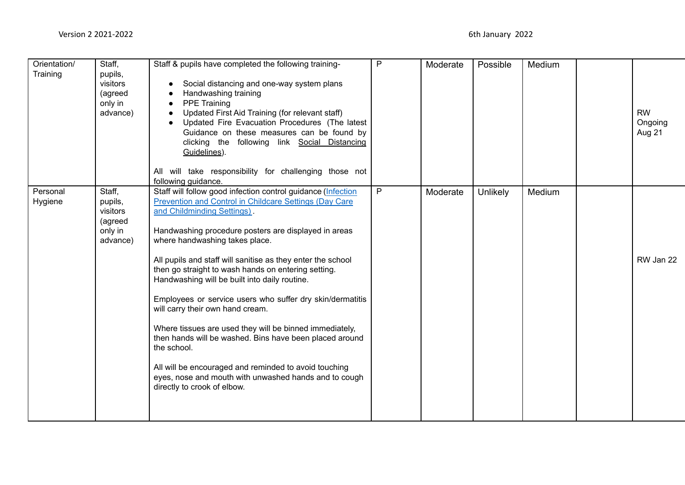| Orientation/<br>Training | Staff,<br>pupils,<br>visitors<br>(agreed<br>only in<br>advance) | Staff & pupils have completed the following training-<br>Social distancing and one-way system plans<br>Handwashing training<br><b>PPE Training</b><br>Updated First Aid Training (for relevant staff)<br>Updated Fire Evacuation Procedures (The latest<br>Guidance on these measures can be found by<br>clicking the following link Social Distancing<br>Guidelines).<br>All will take responsibility for challenging those not<br>following guidance.                                                                                                                                                                                                                                                                                                                                                             | P | Moderate | Possible        | Medium | <b>RW</b><br>Ongoing<br>Aug 21 |
|--------------------------|-----------------------------------------------------------------|---------------------------------------------------------------------------------------------------------------------------------------------------------------------------------------------------------------------------------------------------------------------------------------------------------------------------------------------------------------------------------------------------------------------------------------------------------------------------------------------------------------------------------------------------------------------------------------------------------------------------------------------------------------------------------------------------------------------------------------------------------------------------------------------------------------------|---|----------|-----------------|--------|--------------------------------|
| Personal<br>Hygiene      | Staff,<br>pupils,<br>visitors<br>(agreed<br>only in<br>advance) | Staff will follow good infection control guidance (Infection<br><b>Prevention and Control in Childcare Settings (Day Care</b><br>and Childminding Settings)<br>Handwashing procedure posters are displayed in areas<br>where handwashing takes place.<br>All pupils and staff will sanitise as they enter the school<br>then go straight to wash hands on entering setting.<br>Handwashing will be built into daily routine.<br>Employees or service users who suffer dry skin/dermatitis<br>will carry their own hand cream.<br>Where tissues are used they will be binned immediately,<br>then hands will be washed. Bins have been placed around<br>the school.<br>All will be encouraged and reminded to avoid touching<br>eyes, nose and mouth with unwashed hands and to cough<br>directly to crook of elbow. | P | Moderate | <b>Unlikely</b> | Medium | RW Jan 22                      |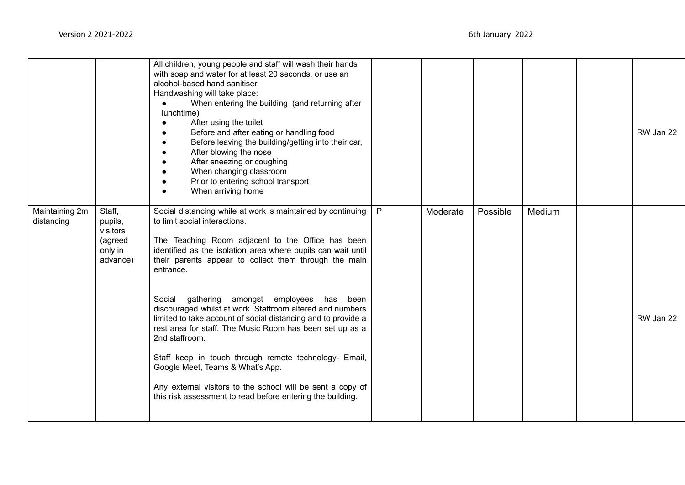|                              |                                                                 | All children, young people and staff will wash their hands<br>with soap and water for at least 20 seconds, or use an<br>alcohol-based hand sanitiser.<br>Handwashing will take place:<br>When entering the building (and returning after<br>lunchtime)<br>After using the toilet<br>Before and after eating or handling food<br>Before leaving the building/getting into their car,<br>After blowing the nose<br>After sneezing or coughing<br>When changing classroom<br>Prior to entering school transport<br>When arriving home |   |          |          |        | RW Jan 22 |
|------------------------------|-----------------------------------------------------------------|------------------------------------------------------------------------------------------------------------------------------------------------------------------------------------------------------------------------------------------------------------------------------------------------------------------------------------------------------------------------------------------------------------------------------------------------------------------------------------------------------------------------------------|---|----------|----------|--------|-----------|
| Maintaining 2m<br>distancing | Staff,<br>pupils,<br>visitors<br>(agreed<br>only in<br>advance) | Social distancing while at work is maintained by continuing<br>to limit social interactions.<br>The Teaching Room adjacent to the Office has been<br>identified as the isolation area where pupils can wait until<br>their parents appear to collect them through the main<br>entrance.                                                                                                                                                                                                                                            | P | Moderate | Possible | Medium |           |
|                              |                                                                 | Social gathering amongst employees<br>has<br>been<br>discouraged whilst at work. Staffroom altered and numbers<br>limited to take account of social distancing and to provide a<br>rest area for staff. The Music Room has been set up as a<br>2nd staffroom.                                                                                                                                                                                                                                                                      |   |          |          |        | RW Jan 22 |
|                              |                                                                 | Staff keep in touch through remote technology- Email,<br>Google Meet, Teams & What's App.<br>Any external visitors to the school will be sent a copy of<br>this risk assessment to read before entering the building.                                                                                                                                                                                                                                                                                                              |   |          |          |        |           |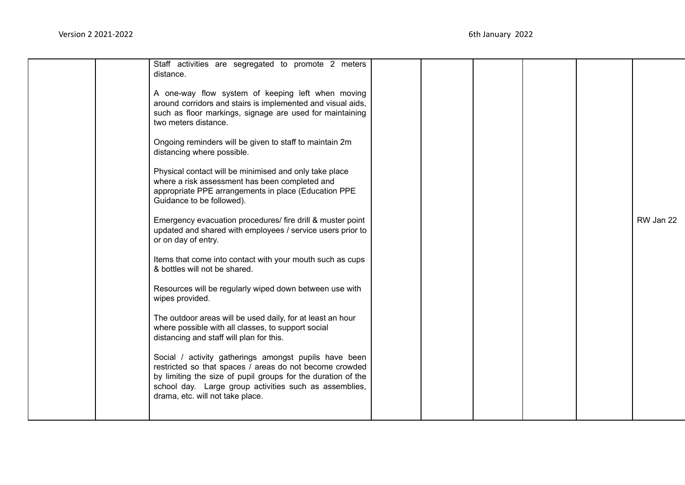|  | Staff activities are segregated to promote 2 meters<br>distance.                                                                                                                                                                                                               |  |  |           |
|--|--------------------------------------------------------------------------------------------------------------------------------------------------------------------------------------------------------------------------------------------------------------------------------|--|--|-----------|
|  | A one-way flow system of keeping left when moving<br>around corridors and stairs is implemented and visual aids,<br>such as floor markings, signage are used for maintaining<br>two meters distance.                                                                           |  |  |           |
|  | Ongoing reminders will be given to staff to maintain 2m<br>distancing where possible.                                                                                                                                                                                          |  |  |           |
|  | Physical contact will be minimised and only take place<br>where a risk assessment has been completed and<br>appropriate PPE arrangements in place (Education PPE<br>Guidance to be followed).                                                                                  |  |  |           |
|  | Emergency evacuation procedures/ fire drill & muster point<br>updated and shared with employees / service users prior to<br>or on day of entry.                                                                                                                                |  |  | RW Jan 22 |
|  | Items that come into contact with your mouth such as cups<br>& bottles will not be shared.                                                                                                                                                                                     |  |  |           |
|  | Resources will be regularly wiped down between use with<br>wipes provided.                                                                                                                                                                                                     |  |  |           |
|  | The outdoor areas will be used daily, for at least an hour<br>where possible with all classes, to support social<br>distancing and staff will plan for this.                                                                                                                   |  |  |           |
|  | Social / activity gatherings amongst pupils have been<br>restricted so that spaces / areas do not become crowded<br>by limiting the size of pupil groups for the duration of the<br>school day. Large group activities such as assemblies,<br>drama, etc. will not take place. |  |  |           |
|  |                                                                                                                                                                                                                                                                                |  |  |           |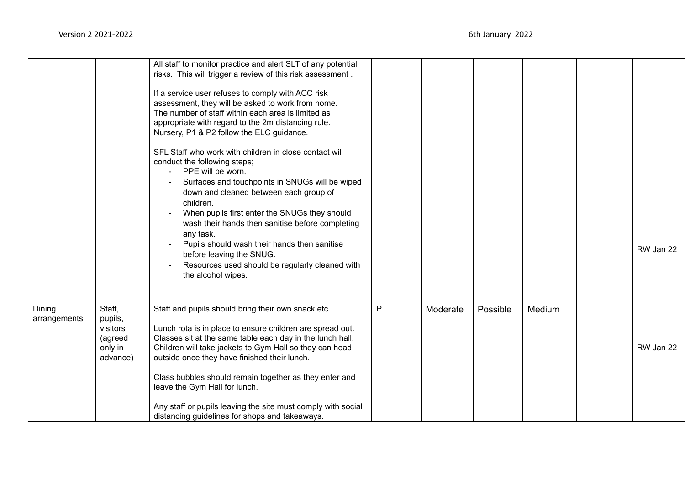|                        |                                                                 | All staff to monitor practice and alert SLT of any potential<br>risks. This will trigger a review of this risk assessment.<br>If a service user refuses to comply with ACC risk<br>assessment, they will be asked to work from home.<br>The number of staff within each area is limited as<br>appropriate with regard to the 2m distancing rule.<br>Nursery, P1 & P2 follow the ELC guidance.<br>SFL Staff who work with children in close contact will<br>conduct the following steps; |              |          |          |        |           |
|------------------------|-----------------------------------------------------------------|-----------------------------------------------------------------------------------------------------------------------------------------------------------------------------------------------------------------------------------------------------------------------------------------------------------------------------------------------------------------------------------------------------------------------------------------------------------------------------------------|--------------|----------|----------|--------|-----------|
|                        |                                                                 | PPE will be worn.<br>$\mathbf{r}$<br>Surfaces and touchpoints in SNUGs will be wiped<br>down and cleaned between each group of<br>children.<br>When pupils first enter the SNUGs they should<br>wash their hands then sanitise before completing<br>any task.<br>Pupils should wash their hands then sanitise<br>before leaving the SNUG.<br>Resources used should be regularly cleaned with                                                                                            |              |          |          |        | RW Jan 22 |
|                        |                                                                 | the alcohol wipes.                                                                                                                                                                                                                                                                                                                                                                                                                                                                      |              |          |          |        |           |
| Dining<br>arrangements | Staff,<br>pupils,<br>visitors<br>(agreed<br>only in<br>advance) | Staff and pupils should bring their own snack etc<br>Lunch rota is in place to ensure children are spread out.<br>Classes sit at the same table each day in the lunch hall.<br>Children will take jackets to Gym Hall so they can head<br>outside once they have finished their lunch.                                                                                                                                                                                                  | $\mathsf{P}$ | Moderate | Possible | Medium | RW Jan 22 |
|                        |                                                                 | Class bubbles should remain together as they enter and<br>leave the Gym Hall for lunch.<br>Any staff or pupils leaving the site must comply with social<br>distancing guidelines for shops and takeaways.                                                                                                                                                                                                                                                                               |              |          |          |        |           |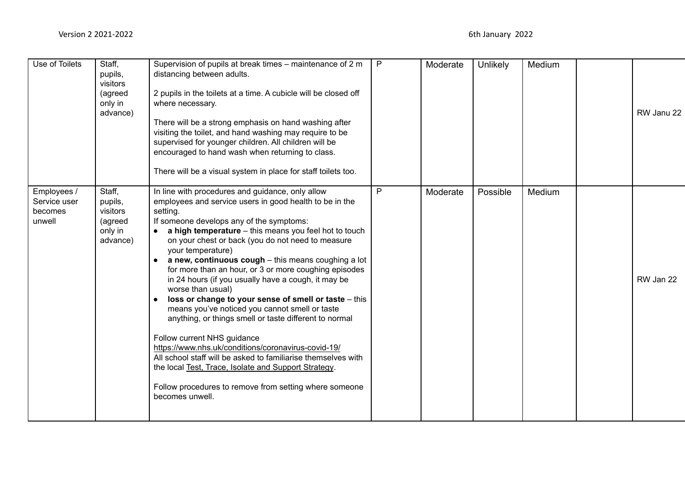| Use of Toilets                                   | Staff,<br>pupils,<br>visitors<br>(agreed<br>only in<br>advance) | Supervision of pupils at break times – maintenance of 2 m<br>distancing between adults.<br>2 pupils in the toilets at a time. A cubicle will be closed off<br>where necessary.<br>There will be a strong emphasis on hand washing after<br>visiting the toilet, and hand washing may require to be<br>supervised for younger children. All children will be<br>encouraged to hand wash when returning to class.<br>There will be a visual system in place for staff toilets too.                                                                                                                                                                                                                                                                                                                                                                                                                                                                                                 | $\mathsf{P}$ | Moderate | Unlikely | Medium | RW Janu 22 |
|--------------------------------------------------|-----------------------------------------------------------------|----------------------------------------------------------------------------------------------------------------------------------------------------------------------------------------------------------------------------------------------------------------------------------------------------------------------------------------------------------------------------------------------------------------------------------------------------------------------------------------------------------------------------------------------------------------------------------------------------------------------------------------------------------------------------------------------------------------------------------------------------------------------------------------------------------------------------------------------------------------------------------------------------------------------------------------------------------------------------------|--------------|----------|----------|--------|------------|
| Employees /<br>Service user<br>becomes<br>unwell | Staff,<br>pupils,<br>visitors<br>(agreed<br>only in<br>advance) | In line with procedures and guidance, only allow<br>employees and service users in good health to be in the<br>setting.<br>If someone develops any of the symptoms:<br>a high temperature - this means you feel hot to touch<br>on your chest or back (you do not need to measure<br>your temperature)<br>a new, continuous cough - this means coughing a lot<br>$\bullet$<br>for more than an hour, or 3 or more coughing episodes<br>in 24 hours (if you usually have a cough, it may be<br>worse than usual)<br>loss or change to your sense of smell or taste - this<br>means you've noticed you cannot smell or taste<br>anything, or things smell or taste different to normal<br>Follow current NHS guidance<br>https://www.nhs.uk/conditions/coronavirus-covid-19/<br>All school staff will be asked to familiarise themselves with<br>the local Test, Trace, Isolate and Support Strategy.<br>Follow procedures to remove from setting where someone<br>becomes unwell. | P            | Moderate | Possible | Medium | RW Jan 22  |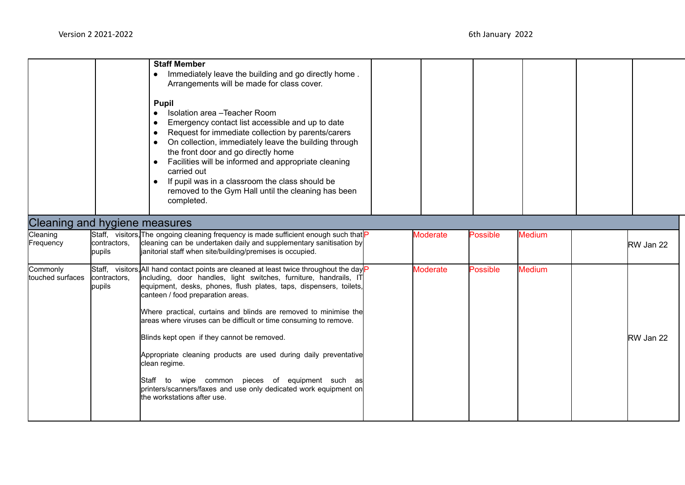|                                      |                        | <b>Staff Member</b><br>Immediately leave the building and go directly home.<br>$\bullet$<br>Arrangements will be made for class cover.<br><b>Pupil</b><br>Isolation area - Teacher Room<br>$\bullet$<br>Emergency contact list accessible and up to date<br>$\bullet$<br>Request for immediate collection by parents/carers<br>$\bullet$<br>On collection, immediately leave the building through<br>$\bullet$<br>the front door and go directly home<br>Facilities will be informed and appropriate cleaning<br>$\bullet$<br>carried out<br>If pupil was in a classroom the class should be<br>$\bullet$<br>removed to the Gym Hall until the cleaning has been<br>completed.                             |                 |                 |               |           |
|--------------------------------------|------------------------|------------------------------------------------------------------------------------------------------------------------------------------------------------------------------------------------------------------------------------------------------------------------------------------------------------------------------------------------------------------------------------------------------------------------------------------------------------------------------------------------------------------------------------------------------------------------------------------------------------------------------------------------------------------------------------------------------------|-----------------|-----------------|---------------|-----------|
| <b>Cleaning and hygiene measures</b> |                        |                                                                                                                                                                                                                                                                                                                                                                                                                                                                                                                                                                                                                                                                                                            |                 |                 |               |           |
| Cleaning<br>Frequency                | contractors,<br>pupils | Staff, visitors, The ongoing cleaning frequency is made sufficient enough such that<br>cleaning can be undertaken daily and supplementary sanitisation by<br>janitorial staff when site/building/premises is occupied.                                                                                                                                                                                                                                                                                                                                                                                                                                                                                     | <b>Moderate</b> | Possible        | <b>Medium</b> | RW Jan 22 |
| Commonly<br>touched surfaces         | contractors,<br>pupils | Staff, visitors, All hand contact points are cleaned at least twice throughout the day<br>including, door handles, light switches, furniture, handrails, IT<br>equipment, desks, phones, flush plates, taps, dispensers, toilets,<br>canteen / food preparation areas.<br>Where practical, curtains and blinds are removed to minimise the<br>areas where viruses can be difficult or time consuming to remove.<br>Blinds kept open if they cannot be removed.<br>Appropriate cleaning products are used during daily preventative<br>clean regime.<br>Staff to wipe common pieces of equipment such as<br>printers/scanners/faxes and use only dedicated work equipment on<br>the workstations after use. | <b>Moderate</b> | <b>Possible</b> | <b>Medium</b> | RW Jan 22 |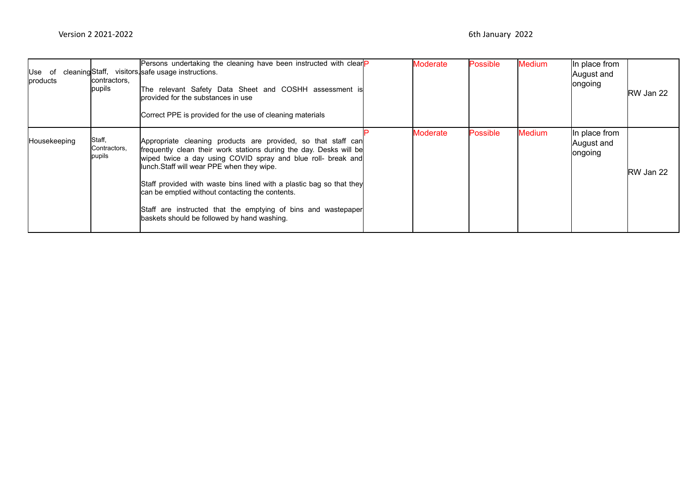| lUse of<br>products | contractors,<br>pupils           | Persons undertaking the cleaning have been instructed with clear<br>cleaning Staff, visitors, safe usage instructions.<br>The relevant Safety Data Sheet and COSHH assessment is<br>Iprovided for the substances in use<br>Correct PPE is provided for the use of cleaning materials                                                                                                                                                                                                         | <b>Moderate</b> | <b>Possible</b> | <b>Medium</b> | In place from<br>August and<br><b>longoing</b> | RW Jan 22 |
|---------------------|----------------------------------|----------------------------------------------------------------------------------------------------------------------------------------------------------------------------------------------------------------------------------------------------------------------------------------------------------------------------------------------------------------------------------------------------------------------------------------------------------------------------------------------|-----------------|-----------------|---------------|------------------------------------------------|-----------|
| Housekeeping        | Staff,<br>Contractors,<br>pupils | Appropriate cleaning products are provided, so that staff can<br>frequently clean their work stations during the day. Desks will be<br>wiped twice a day using COVID spray and blue roll- break and<br>llunch.Staff will wear PPE when they wipe.<br>Staff provided with waste bins lined with a plastic bag so that they<br>can be emptied without contacting the contents.<br>Staff are instructed that the emptying of bins and wastepaper<br>baskets should be followed by hand washing. | Moderate        | <b>Possible</b> | <b>Medium</b> | In place from<br>August and<br><b>longoing</b> | RW Jan 22 |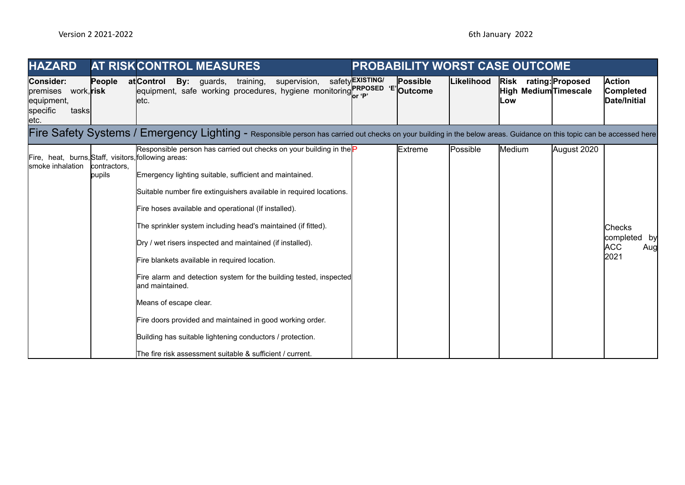| <b>HAZARD</b>                                                                                 |                        | <b>AT RISKCONTROL MEASURES</b>                                                                                                                                                                                                                                                                                                                                                                                                                                                                                                                                                                                                                                                                                                                          |                        |          |            | <b>PROBABILITY WORST CASE OUTCOME</b>                  |             |                                                            |
|-----------------------------------------------------------------------------------------------|------------------------|---------------------------------------------------------------------------------------------------------------------------------------------------------------------------------------------------------------------------------------------------------------------------------------------------------------------------------------------------------------------------------------------------------------------------------------------------------------------------------------------------------------------------------------------------------------------------------------------------------------------------------------------------------------------------------------------------------------------------------------------------------|------------------------|----------|------------|--------------------------------------------------------|-------------|------------------------------------------------------------|
| <b>Consider:</b><br>premises<br>work, <b>risk</b><br>equipment,<br>specific<br>tasks<br>letc. | People                 | atControl<br><b>By:</b> guards,<br>training,<br>supervision,<br>equipment, safe working procedures, hygiene monitoring PRPOSED 'E' Outcome<br>letc.                                                                                                                                                                                                                                                                                                                                                                                                                                                                                                                                                                                                     | safety <b>EXISTING</b> | Possible | Likelihood | Risk rating: Proposed<br>High Medium Timescale<br>lLow |             | <b>Action</b><br><b>Completed</b><br>Date/Initial          |
|                                                                                               |                        | Fire Safety Systems / Emergency Lighting - Responsible person has carried out checks on your building in the below areas. Guidance on this topic can be accessed here                                                                                                                                                                                                                                                                                                                                                                                                                                                                                                                                                                                   |                        |          |            |                                                        |             |                                                            |
| Fire, heat, burns, Staff, visitors, following areas:<br>smoke inhalation                      | contractors.<br>pupils | Responsible person has carried out checks on your building in the P<br>Emergency lighting suitable, sufficient and maintained.<br>Suitable number fire extinguishers available in required locations.<br>Fire hoses available and operational (If installed).<br>The sprinkler system including head's maintained (if fitted).<br>Dry / wet risers inspected and maintained (if installed).<br>Fire blankets available in required location.<br>Fire alarm and detection system for the building tested, inspected<br>land maintained.<br>Means of escape clear.<br>Fire doors provided and maintained in good working order.<br>Building has suitable lightening conductors / protection.<br>The fire risk assessment suitable & sufficient / current. |                        | Extreme  | Possible   | Medium                                                 | August 2020 | <b>Checks</b><br>completed by<br><b>ACC</b><br>Aug<br>2021 |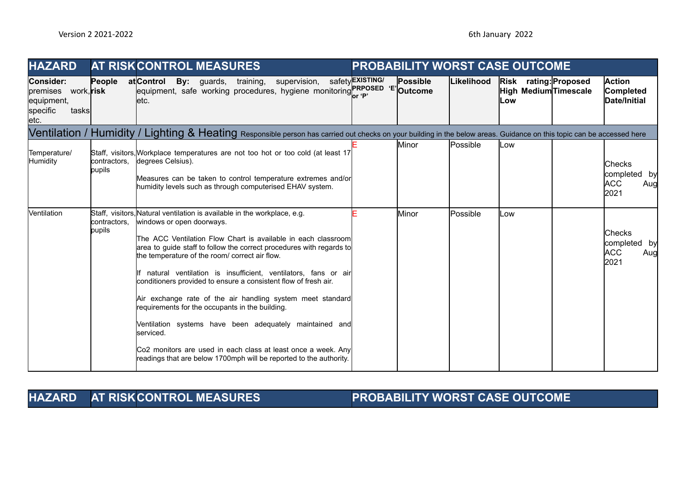| <b>HAZARD</b>                                                                          |                        | <b>AT RISKCONTROL MEASURES</b>                                                                                                                                                                                                                                                                                                                                                                                                                                                                                                                                                                                                                                                                                                                                          |                         |                 |            | <b>PROBABILITY WORST CASE OUTCOME</b>                        |                                                            |
|----------------------------------------------------------------------------------------|------------------------|-------------------------------------------------------------------------------------------------------------------------------------------------------------------------------------------------------------------------------------------------------------------------------------------------------------------------------------------------------------------------------------------------------------------------------------------------------------------------------------------------------------------------------------------------------------------------------------------------------------------------------------------------------------------------------------------------------------------------------------------------------------------------|-------------------------|-----------------|------------|--------------------------------------------------------------|------------------------------------------------------------|
| Consider:<br>premises<br>work, <b>risk</b><br>equipment,<br>specific<br>tasks<br>letc. | People                 | atControl<br>supervision,<br><b>By:</b> guards, training,<br>equipment, safe working procedures, hygiene monitoring or 'P' Outcome<br>letc.                                                                                                                                                                                                                                                                                                                                                                                                                                                                                                                                                                                                                             | safety <b>EXISTING/</b> | <b>Possible</b> | Likelihood | Risk rating: Proposed<br>High Medium Timescale<br><b>Low</b> | <b>Action</b><br>Completed<br>Date/Initial                 |
|                                                                                        |                        | Ventilation / Humidity / Lighting & Heating Responsible person has carried out checks on your building in the below areas. Guidance on this topic can be accessed here                                                                                                                                                                                                                                                                                                                                                                                                                                                                                                                                                                                                  |                         |                 |            |                                                              |                                                            |
| Temperature/<br><b>Humidity</b>                                                        | contractors.<br>pupils | Staff, visitors, Workplace temperatures are not too hot or too cold (at least 17<br>degrees Celsius).<br>Measures can be taken to control temperature extremes and/or<br>humidity levels such as through computerised EHAV system.                                                                                                                                                                                                                                                                                                                                                                                                                                                                                                                                      |                         | lMinor          | lPossible  | Low                                                          | <b>Checks</b><br>completed by<br><b>ACC</b><br>Aug<br>2021 |
| <b>Nentilation</b>                                                                     | contractors.<br>pupils | Staff, visitors, Natural ventilation is available in the workplace, e.g.<br>windows or open doorways.<br>The ACC Ventilation Flow Chart is available in each classroom<br>area to guide staff to follow the correct procedures with regards to<br>the temperature of the room/ correct air flow.<br>If natural ventilation is insufficient, ventilators, fans or air<br>conditioners provided to ensure a consistent flow of fresh air.<br>Air exchange rate of the air handling system meet standard<br>requirements for the occupants in the building.<br>Ventilation systems have been adequately maintained and<br>serviced.<br>Co2 monitors are used in each class at least once a week. Any<br>readings that are below 1700mph will be reported to the authority. |                         | Minor           | Possible   | LOW                                                          | <b>Checks</b><br>completed by<br><b>ACC</b><br>Aug<br>2021 |

**HAZARD AT RISKCONTROL MEASURES PROBABILITY WORST CASE OUTCOME**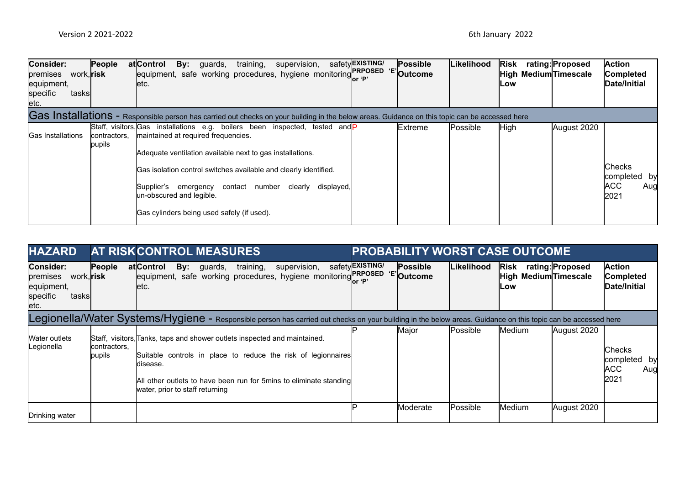| Consider:<br>work, <b>risk</b><br>premises<br>equipment,<br>specific<br>tasksl<br>letc. | People                 | training,<br>supervision,<br>atlControl<br><b>By:</b> guards,<br>equipment, safe working procedures, hygiene monitoring PRPOSED 'E' Outcome<br>letc.                                                                                                                                                                                           | safetyEXISTING/ | <b>Possible</b> | lLikelihood | <b>Risk</b><br>High Medium Timescale<br>lLow | rating: Proposed | <b>Action</b><br>Completed<br>Date/Initial          |
|-----------------------------------------------------------------------------------------|------------------------|------------------------------------------------------------------------------------------------------------------------------------------------------------------------------------------------------------------------------------------------------------------------------------------------------------------------------------------------|-----------------|-----------------|-------------|----------------------------------------------|------------------|-----------------------------------------------------|
|                                                                                         |                        | Gas Installations - Responsible person has carried out checks on your building in the below areas. Guidance on this topic can be accessed here                                                                                                                                                                                                 |                 |                 |             |                                              |                  |                                                     |
| <b>IGas Installations</b>                                                               | contractors.<br>pupils | Staff, visitors, Gas installations e.g. boilers been inspected, tested and P<br>maintained at required frequencies.<br>Adequate ventilation available next to gas installations.<br>Gas isolation control switches available and clearly identified.<br>Supplier's emergency contact number clearly<br>displayed,<br>lun-obscured and legible. |                 | <b>Extreme</b>  | Possible    | <b>High</b>                                  | August 2020      | <b>Checks</b><br>completed by<br>ACC<br>Aug<br>2021 |
|                                                                                         |                        | Gas cylinders being used safely (if used).                                                                                                                                                                                                                                                                                                     |                 |                 |             |                                              |                  |                                                     |

| <b>HAZARD</b>                                                                          |                        | <b>AT RISKCONTROL MEASURES</b>                                                                                                                                                                                                                                  |           |              |                        |          |                 | <b>PROBABILITY WORST CASE OUTCOME</b>       |                  |                                                        |
|----------------------------------------------------------------------------------------|------------------------|-----------------------------------------------------------------------------------------------------------------------------------------------------------------------------------------------------------------------------------------------------------------|-----------|--------------|------------------------|----------|-----------------|---------------------------------------------|------------------|--------------------------------------------------------|
| Consider:<br>work, <b>risk</b><br>premises<br>equipment,<br>specific<br>tasksl<br>etc. | People                 | at Control<br>By:<br>guards,<br>equipment, safe working procedures, hygiene monitoring PRPOSED 'E' Outcome<br>letc.                                                                                                                                             | training, | supervision, | safety <b>EXISTING</b> | Possible | Likelihood      | <b>Risk</b><br>High Medium Timescale<br>Low | rating: Proposed | <b>Action</b><br><b>Completed</b><br>Date/Initial      |
|                                                                                        |                        | Legionella/Water Systems/Hygiene - Responsible person has carried out checks on your building in the below areas. Guidance on this topic can be accessed here                                                                                                   |           |              |                        |          |                 |                                             |                  |                                                        |
| Water outlets<br>Legionella                                                            | contractors,<br>pupils | Staff, visitors, Tanks, taps and shower outlets inspected and maintained.<br>Suitable controls in place to reduce the risk of legionnaires<br>disease.<br>All other outlets to have been run for 5mins to eliminate standing<br>water, prior to staff returning |           |              |                        | Major    | Possible        | Medium                                      | August 2020      | <b>Checks</b><br>completed<br>by<br>ACC<br>Aug<br>2021 |
| Drinking water                                                                         |                        |                                                                                                                                                                                                                                                                 |           |              |                        | Moderate | <b>Possible</b> | Medium                                      | August 2020      |                                                        |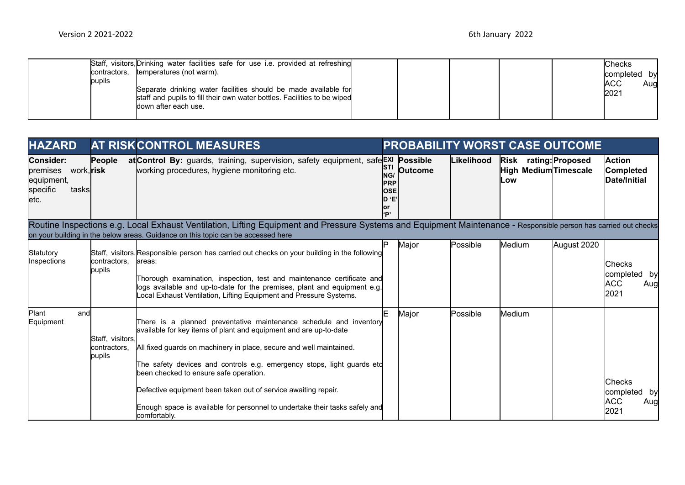| Staff, visitors, Drinking water facilities safe for use i.e. provided at refreshing<br>temperatures (not warm).<br>contractors,<br>pupils<br>Separate drinking water facilities should be made available for<br>staff and pupils to fill their own water bottles. Facilities to be wiped<br>ldown after each use. |  |  | Checks<br>completed by<br><b>ACC</b><br>Aug<br>2021 |
|-------------------------------------------------------------------------------------------------------------------------------------------------------------------------------------------------------------------------------------------------------------------------------------------------------------------|--|--|-----------------------------------------------------|
|-------------------------------------------------------------------------------------------------------------------------------------------------------------------------------------------------------------------------------------------------------------------------------------------------------------------|--|--|-----------------------------------------------------|

| <b>HAZARD</b>                                                                           | <b>AT RISKCONTROL MEASURES</b>             |                                                                                                                                                                                                                                                                                                                                                                                                                                                                                                     |                                                                      | <b>PROBABILITY WORST CASE OUTCOME</b> |            |                                                       |             |                                                     |  |  |
|-----------------------------------------------------------------------------------------|--------------------------------------------|-----------------------------------------------------------------------------------------------------------------------------------------------------------------------------------------------------------------------------------------------------------------------------------------------------------------------------------------------------------------------------------------------------------------------------------------------------------------------------------------------------|----------------------------------------------------------------------|---------------------------------------|------------|-------------------------------------------------------|-------------|-----------------------------------------------------|--|--|
| Consider:<br>premises<br>work, <b>risk</b><br>equipment,<br>specific<br>tasksl<br>letc. | People                                     | at Control By: guards, training, supervision, safety equipment, safe Exi Possible<br>working procedures, hygiene monitoring etc.                                                                                                                                                                                                                                                                                                                                                                    | <b>STI</b><br>NG/<br><b>PRP</b><br><b>IOSE</b><br>'F ∩<br>lor<br>'P' | <b>Outcome</b>                        | Likelihood | Risk rating: Proposed<br>High Medium Timescale<br>Low |             | <b>Action</b><br>Completed<br>Date/Initial          |  |  |
|                                                                                         |                                            | Routine Inspections e.g. Local Exhaust Ventilation, Lifting Equipment and Pressure Systems and Equipment Maintenance - Responsible person has carried out checks<br>on your building in the below areas. Guidance on this topic can be accessed here                                                                                                                                                                                                                                                |                                                                      |                                       |            |                                                       |             |                                                     |  |  |
| Statutory<br>Inspections                                                                | contractors.<br>pupils                     | Staff, visitors, Responsible person has carried out checks on your building in the following<br>lareas:<br>Thorough examination, inspection, test and maintenance certificate and<br>logs available and up-to-date for the premises, plant and equipment e.g.<br>Local Exhaust Ventilation, Lifting Equipment and Pressure Systems.                                                                                                                                                                 | םו                                                                   | Major                                 | Possible   | Medium                                                | August 2020 | Checks<br>completed by<br><b>ACC</b><br>Aug<br>2021 |  |  |
| <b>Plant</b><br>and<br>Equipment                                                        | Staff, visitors,<br>contractors,<br>pupils | There is a planned preventative maintenance schedule and inventory<br>available for key items of plant and equipment and are up-to-date<br>All fixed guards on machinery in place, secure and well maintained.<br>The safety devices and controls e.g. emergency stops, light guards etc<br>been checked to ensure safe operation.<br>Defective equipment been taken out of service awaiting repair.<br>Enough space is available for personnel to undertake their tasks safely and<br>comfortably. |                                                                      | Major                                 | Possible   | Medium                                                |             | Checks<br>completed by<br>ACC.<br>Aug<br>2021       |  |  |